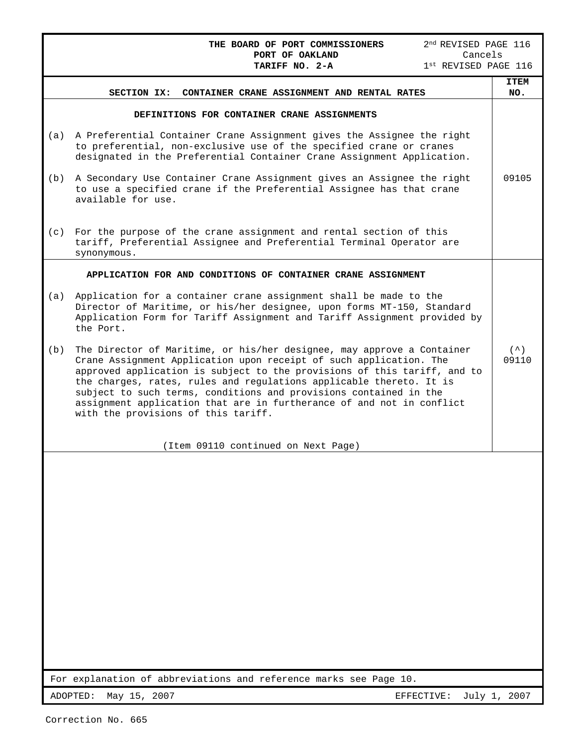|     | THE BOARD OF PORT COMMISSIONERS<br>2 <sup>nd</sup> REVISED PAGE 116                                                                                                                                                                                                                                                                                                                                                                                                                  |                          |
|-----|--------------------------------------------------------------------------------------------------------------------------------------------------------------------------------------------------------------------------------------------------------------------------------------------------------------------------------------------------------------------------------------------------------------------------------------------------------------------------------------|--------------------------|
|     | Cancels<br>PORT OF OAKLAND<br>TARIFF NO. 2-A<br>1st REVISED PAGE 116                                                                                                                                                                                                                                                                                                                                                                                                                 |                          |
|     | CONTAINER CRANE ASSIGNMENT AND RENTAL RATES<br>SECTION IX:                                                                                                                                                                                                                                                                                                                                                                                                                           | <b>ITEM</b><br>NO.       |
|     |                                                                                                                                                                                                                                                                                                                                                                                                                                                                                      |                          |
|     | DEFINITIONS FOR CONTAINER CRANE ASSIGNMENTS                                                                                                                                                                                                                                                                                                                                                                                                                                          |                          |
| (a) | A Preferential Container Crane Assignment gives the Assignee the right<br>to preferential, non-exclusive use of the specified crane or cranes<br>designated in the Preferential Container Crane Assignment Application.                                                                                                                                                                                                                                                              |                          |
| (b) | A Secondary Use Container Crane Assignment gives an Assignee the right<br>to use a specified crane if the Preferential Assignee has that crane<br>available for use.                                                                                                                                                                                                                                                                                                                 | 09105                    |
| (c) | For the purpose of the crane assignment and rental section of this<br>tariff, Preferential Assignee and Preferential Terminal Operator are<br>synonymous.                                                                                                                                                                                                                                                                                                                            |                          |
|     | APPLICATION FOR AND CONDITIONS OF CONTAINER CRANE ASSIGNMENT                                                                                                                                                                                                                                                                                                                                                                                                                         |                          |
| (a) | Application for a container crane assignment shall be made to the<br>Director of Maritime, or his/her designee, upon forms MT-150, Standard<br>Application Form for Tariff Assignment and Tariff Assignment provided by<br>the Port.                                                                                                                                                                                                                                                 |                          |
| (b) | The Director of Maritime, or his/her designee, may approve a Container<br>Crane Assignment Application upon receipt of such application. The<br>approved application is subject to the provisions of this tariff, and to<br>the charges, rates, rules and regulations applicable thereto. It is<br>subject to such terms, conditions and provisions contained in the<br>assignment application that are in furtherance of and not in conflict<br>with the provisions of this tariff. | $($ $\hat{\ })$<br>09110 |
|     | (Item 09110 continued on Next Page)                                                                                                                                                                                                                                                                                                                                                                                                                                                  |                          |
|     |                                                                                                                                                                                                                                                                                                                                                                                                                                                                                      |                          |
|     | For explanation of abbreviations and reference marks see Page 10.                                                                                                                                                                                                                                                                                                                                                                                                                    |                          |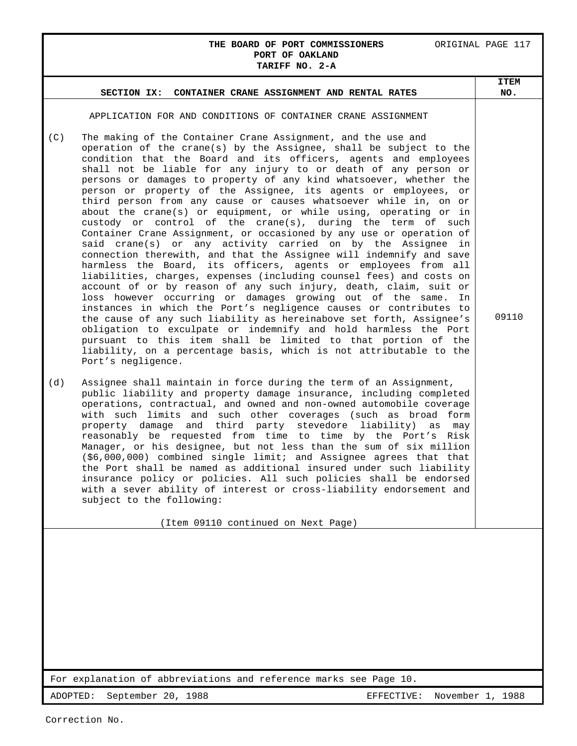#### **THE BOARD OF PORT COMMISSIONERS ORIGINAL PAGE 117 PORT OF OAKLAND TARIFF NO. 2-A**

For explanation of abbreviations and reference marks see Page 10. **SECTION IX: CONTAINER CRANE ASSIGNMENT AND RENTAL RATES ITEM NO.** APPLICATION FOR AND CONDITIONS OF CONTAINER CRANE ASSIGNMENT (C) The making of the Container Crane Assignment, and the use and operation of the crane(s) by the Assignee, shall be subject to the condition that the Board and its officers, agents and employees shall not be liable for any injury to or death of any person or persons or damages to property of any kind whatsoever, whether the person or property of the Assignee, its agents or employees, or third person from any cause or causes whatsoever while in, on or about the crane(s) or equipment, or while using, operating or in custody or control of the crane(s), during the term of such Container Crane Assignment, or occasioned by any use or operation of said crane(s) or any activity carried on by the Assignee in connection therewith, and that the Assignee will indemnify and save harmless the Board, its officers, agents or employees from all liabilities, charges, expenses (including counsel fees) and costs on account of or by reason of any such injury, death, claim, suit or loss however occurring or damages growing out of the same. In instances in which the Port's negligence causes or contributes to the cause of any such liability as hereinabove set forth, Assignee's obligation to exculpate or indemnify and hold harmless the Port pursuant to this item shall be limited to that portion of the liability, on a percentage basis, which is not attributable to the Port's negligence. (d) Assignee shall maintain in force during the term of an Assignment, public liability and property damage insurance, including completed operations, contractual, and owned and non-owned automobile coverage with such limits and such other coverages (such as broad form property damage and third party stevedore liability) as may reasonably be requested from time to time by the Port's Risk Manager, or his designee, but not less than the sum of six million (\$6,000,000) combined single limit; and Assignee agrees that that the Port shall be named as additional insured under such liability insurance policy or policies. All such policies shall be endorsed with a sever ability of interest or cross-liability endorsement and subject to the following: (Item 09110 continued on Next Page) 09110

ADOPTED: September 20, 1988 EFFECTIVE: November 1, 1988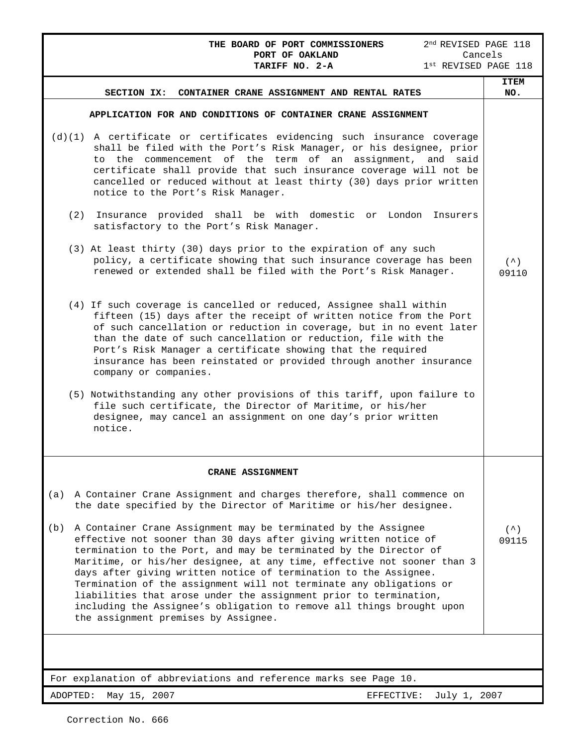| 2 <sup>nd</sup> REVISED PAGE 118<br>THE BOARD OF PORT COMMISSIONERS<br>PORT OF OAKLAND                                                                                                                                                                                                                                                                                                                                                                                                                                                                                                                                                                                                                                                                                                                                                                                                                                                                                                                                                                                                                                                                                                                                                                                                                                                                                                                                                                                              | Cancels                   |  |  |
|-------------------------------------------------------------------------------------------------------------------------------------------------------------------------------------------------------------------------------------------------------------------------------------------------------------------------------------------------------------------------------------------------------------------------------------------------------------------------------------------------------------------------------------------------------------------------------------------------------------------------------------------------------------------------------------------------------------------------------------------------------------------------------------------------------------------------------------------------------------------------------------------------------------------------------------------------------------------------------------------------------------------------------------------------------------------------------------------------------------------------------------------------------------------------------------------------------------------------------------------------------------------------------------------------------------------------------------------------------------------------------------------------------------------------------------------------------------------------------------|---------------------------|--|--|
| $1^{\rm st}$ REVISED PAGE 118<br>TARIFF NO. 2-A                                                                                                                                                                                                                                                                                                                                                                                                                                                                                                                                                                                                                                                                                                                                                                                                                                                                                                                                                                                                                                                                                                                                                                                                                                                                                                                                                                                                                                     |                           |  |  |
| SECTION IX:<br>CONTAINER CRANE ASSIGNMENT AND RENTAL RATES                                                                                                                                                                                                                                                                                                                                                                                                                                                                                                                                                                                                                                                                                                                                                                                                                                                                                                                                                                                                                                                                                                                                                                                                                                                                                                                                                                                                                          | <b>ITEM</b><br>NO.        |  |  |
| APPLICATION FOR AND CONDITIONS OF CONTAINER CRANE ASSIGNMENT<br>$(d)(1)$ A certificate or certificates evidencing such insurance coverage<br>shall be filed with the Port's Risk Manager, or his designee, prior<br>to the commencement of the term of an assignment, and said<br>certificate shall provide that such insurance coverage will not be<br>cancelled or reduced without at least thirty (30) days prior written<br>notice to the Port's Risk Manager.<br>(2)<br>Insurance provided shall be with domestic or London Insurers<br>satisfactory to the Port's Risk Manager.<br>(3) At least thirty (30) days prior to the expiration of any such<br>policy, a certificate showing that such insurance coverage has been<br>renewed or extended shall be filed with the Port's Risk Manager.<br>(4) If such coverage is cancelled or reduced, Assignee shall within<br>fifteen (15) days after the receipt of written notice from the Port<br>of such cancellation or reduction in coverage, but in no event later<br>than the date of such cancellation or reduction, file with the<br>Port's Risk Manager a certificate showing that the required<br>insurance has been reinstated or provided through another insurance<br>company or companies.<br>(5) Notwithstanding any other provisions of this tariff, upon failure to<br>file such certificate, the Director of Maritime, or his/her<br>designee, may cancel an assignment on one day's prior written<br>notice. |                           |  |  |
|                                                                                                                                                                                                                                                                                                                                                                                                                                                                                                                                                                                                                                                                                                                                                                                                                                                                                                                                                                                                                                                                                                                                                                                                                                                                                                                                                                                                                                                                                     |                           |  |  |
| <b>CRANE ASSIGNMENT</b>                                                                                                                                                                                                                                                                                                                                                                                                                                                                                                                                                                                                                                                                                                                                                                                                                                                                                                                                                                                                                                                                                                                                                                                                                                                                                                                                                                                                                                                             |                           |  |  |
| A Container Crane Assignment and charges therefore, shall commence on<br>(a)<br>the date specified by the Director of Maritime or his/her designee.<br>A Container Crane Assignment may be terminated by the Assignee<br>(b)<br>effective not sooner than 30 days after giving written notice of<br>termination to the Port, and may be terminated by the Director of<br>Maritime, or his/her designee, at any time, effective not sooner than 3<br>days after giving written notice of termination to the Assignee.<br>Termination of the assignment will not terminate any obligations or<br>liabilities that arose under the assignment prior to termination,<br>including the Assignee's obligation to remove all things brought upon<br>the assignment premises by Assignee.                                                                                                                                                                                                                                                                                                                                                                                                                                                                                                                                                                                                                                                                                                   | $($ $\wedge$ $)$<br>09115 |  |  |
|                                                                                                                                                                                                                                                                                                                                                                                                                                                                                                                                                                                                                                                                                                                                                                                                                                                                                                                                                                                                                                                                                                                                                                                                                                                                                                                                                                                                                                                                                     |                           |  |  |
| For explanation of abbreviations and reference marks see Page 10.                                                                                                                                                                                                                                                                                                                                                                                                                                                                                                                                                                                                                                                                                                                                                                                                                                                                                                                                                                                                                                                                                                                                                                                                                                                                                                                                                                                                                   |                           |  |  |
| July 1, 2007<br>ADOPTED:<br>May 15, 2007<br>EFFECTIVE:                                                                                                                                                                                                                                                                                                                                                                                                                                                                                                                                                                                                                                                                                                                                                                                                                                                                                                                                                                                                                                                                                                                                                                                                                                                                                                                                                                                                                              |                           |  |  |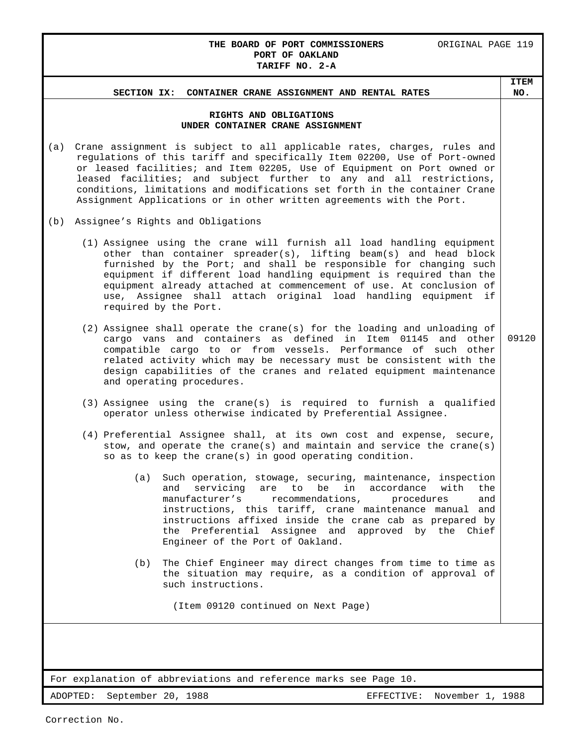### THE BOARD OF PORT COMMISSIONERS ORIGINAL PAGE 119 **PORT OF OAKLAND**

| TARIFF NO. 2-A                                                                                                                                                                                                                                                                                                                                                                                                                                                                                                                     |                    |
|------------------------------------------------------------------------------------------------------------------------------------------------------------------------------------------------------------------------------------------------------------------------------------------------------------------------------------------------------------------------------------------------------------------------------------------------------------------------------------------------------------------------------------|--------------------|
| SECTION IX:<br>CONTAINER CRANE ASSIGNMENT AND RENTAL RATES                                                                                                                                                                                                                                                                                                                                                                                                                                                                         | <b>ITEM</b><br>NO. |
| RIGHTS AND OBLIGATIONS<br>UNDER CONTAINER CRANE ASSIGNMENT<br>Crane assignment is subject to all applicable rates, charges, rules and<br>(a)<br>regulations of this tariff and specifically Item 02200, Use of Port-owned<br>or leased facilities; and Item 02205, Use of Equipment on Port owned or<br>leased facilities; and subject further to any and all restrictions,<br>conditions, limitations and modifications set forth in the container Crane<br>Assignment Applications or in other written agreements with the Port. |                    |
| Assignee's Rights and Obligations<br>(b)                                                                                                                                                                                                                                                                                                                                                                                                                                                                                           |                    |
| (1) Assignee using the crane will furnish all load handling equipment<br>other than container spreader(s), lifting beam(s) and head block<br>furnished by the Port; and shall be responsible for changing such<br>equipment if different load handling equipment is required than the<br>equipment already attached at commencement of use. At conclusion of<br>use, Assignee shall attach original load handling equipment<br>if<br>required by the Port.                                                                         |                    |
| (2) Assignee shall operate the crane(s) for the loading and unloading of<br>cargo vans and containers as defined in Item 01145 and other<br>compatible cargo to or from vessels. Performance of such other<br>related activity which may be necessary must be consistent with the<br>design capabilities of the cranes and related equipment maintenance<br>and operating procedures.                                                                                                                                              | 09120              |
| (3) Assignee using the crane(s) is required to furnish a qualified<br>operator unless otherwise indicated by Preferential Assignee.                                                                                                                                                                                                                                                                                                                                                                                                |                    |
| (4) Preferential Assignee shall, at its own cost and expense, secure,<br>stow, and operate the crane(s) and maintain and service the crane(s)<br>so as to keep the crane(s) in good operating condition.                                                                                                                                                                                                                                                                                                                           |                    |
| Such operation, stowage, securing, maintenance, inspection<br>(a)<br>accordance<br>with<br>servicing<br>be<br>in<br>and<br>are<br>to.<br>the<br>manufacturer's<br>recommendations,<br>procedures<br>and<br>instructions, this tariff, crane maintenance manual<br>and<br>instructions affixed inside the crane cab as prepared by<br>the Preferential Assignee and approved by the<br>Chief<br>Engineer of the Port of Oakland.                                                                                                    |                    |
| The Chief Engineer may direct changes from time to time as<br>(b)<br>the situation may require, as a condition of approval of<br>such instructions.                                                                                                                                                                                                                                                                                                                                                                                |                    |
| (Item 09120 continued on Next Page)                                                                                                                                                                                                                                                                                                                                                                                                                                                                                                |                    |
| For explanation of abbreviations and reference marks see Page 10.                                                                                                                                                                                                                                                                                                                                                                                                                                                                  |                    |

ADOPTED: September 20, 1988 EFFECTIVE: November 1, 1988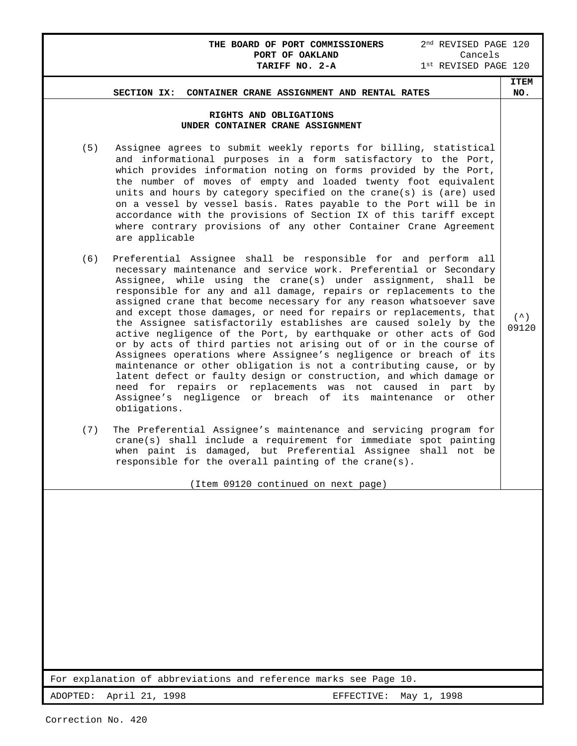| 2 <sup>nd</sup> REVISED PAGE 120<br>THE BOARD OF PORT COMMISSIONERS<br>Cancels<br>PORT OF OAKLAND                                                                                                                                                                                                                                                                                                                                                                                                                                                                                                                                                                                                                                                                                                                                                                                                                                                                                                             |                           |
|---------------------------------------------------------------------------------------------------------------------------------------------------------------------------------------------------------------------------------------------------------------------------------------------------------------------------------------------------------------------------------------------------------------------------------------------------------------------------------------------------------------------------------------------------------------------------------------------------------------------------------------------------------------------------------------------------------------------------------------------------------------------------------------------------------------------------------------------------------------------------------------------------------------------------------------------------------------------------------------------------------------|---------------------------|
| 1st REVISED PAGE 120<br>TARIFF NO. 2-A                                                                                                                                                                                                                                                                                                                                                                                                                                                                                                                                                                                                                                                                                                                                                                                                                                                                                                                                                                        |                           |
| SECTION IX:<br>CONTAINER CRANE ASSIGNMENT AND RENTAL RATES                                                                                                                                                                                                                                                                                                                                                                                                                                                                                                                                                                                                                                                                                                                                                                                                                                                                                                                                                    | <b>ITEM</b><br>NO.        |
| RIGHTS AND OBLIGATIONS<br>UNDER CONTAINER CRANE ASSIGNMENT<br>(5)<br>Assignee agrees to submit weekly reports for billing, statistical<br>and informational purposes in a form satisfactory to the Port,<br>which provides information noting on forms provided by the Port,<br>the number of moves of empty and loaded twenty foot equivalent<br>units and hours by category specified on the crane(s) is (are) used<br>on a vessel by vessel basis. Rates payable to the Port will be in<br>accordance with the provisions of Section IX of this tariff except<br>where contrary provisions of any other Container Crane Agreement<br>are applicable                                                                                                                                                                                                                                                                                                                                                        |                           |
| Preferential Assignee shall be responsible for and perform all<br>(6)<br>necessary maintenance and service work. Preferential or Secondary<br>Assignee, while using the crane(s) under assignment, shall be<br>responsible for any and all damage, repairs or replacements to the<br>assigned crane that become necessary for any reason whatsoever save<br>and except those damages, or need for repairs or replacements, that<br>the Assignee satisfactorily establishes are caused solely by the<br>active negligence of the Port, by earthquake or other acts of God<br>or by acts of third parties not arising out of or in the course of<br>Assignees operations where Assignee's negligence or breach of its<br>maintenance or other obligation is not a contributing cause, or by<br>latent defect or faulty design or construction, and which damage or<br>need for repairs or replacements was not caused in part by<br>Assignee's negligence or breach of its maintenance or other<br>obligations. | $($ $\wedge$ $)$<br>09120 |
| (7)<br>The Preferential Assignee's maintenance and servicing program for<br>crane(s) shall include a requirement for immediate spot painting<br>when paint is damaged, but Preferential Assignee shall not be<br>responsible for the overall painting of the crane(s).<br>(Item 09120 continued on next page)                                                                                                                                                                                                                                                                                                                                                                                                                                                                                                                                                                                                                                                                                                 |                           |
|                                                                                                                                                                                                                                                                                                                                                                                                                                                                                                                                                                                                                                                                                                                                                                                                                                                                                                                                                                                                               |                           |

ADOPTED: April 21, 1998 EFFECTIVE: May 1, 1998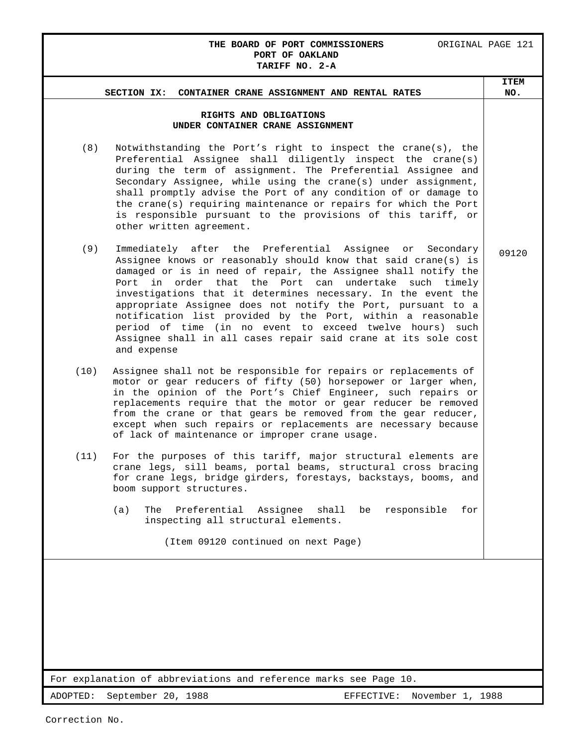#### THE BOARD OF PORT COMMISSIONERS ORIGINAL PAGE 121 **PORT OF OAKLAND TARIFF NO. 2-A**

| RIGHTS AND OBLIGATIONS<br>UNDER CONTAINER CRANE ASSIGNMENT<br>(8)<br>Notwithstanding the Port's right to inspect the crane(s), the<br>Preferential Assignee shall diligently inspect the crane(s)<br>during the term of assignment. The Preferential Assignee and<br>Secondary Assignee, while using the crane(s) under assignment,<br>shall promptly advise the Port of any condition of or damage to<br>the crane(s) requiring maintenance or repairs for which the Port<br>is responsible pursuant to the provisions of this tariff, or<br>other written agreement.<br>(9)<br>Immediately after the Preferential Assignee or<br>Secondary<br>Assignee knows or reasonably should know that said crane(s) is<br>damaged or is in need of repair, the Assignee shall notify the<br>in order<br>that the Port<br>can undertake<br>such timely<br>Port<br>investigations that it determines necessary. In the event the<br>appropriate Assignee does not notify the Port, pursuant to a<br>notification list provided by the Port, within a reasonable<br>period of time (in no event to exceed twelve hours)<br>such<br>Assignee shall in all cases repair said crane at its sole cost<br>and expense<br>(10)<br>Assignee shall not be responsible for repairs or replacements of<br>motor or gear reducers of fifty (50) horsepower or larger when,<br>in the opinion of the Port's Chief Engineer, such repairs or<br>replacements require that the motor or gear reducer be removed<br>from the crane or that gears be removed from the gear reducer,<br>except when such repairs or replacements are necessary because<br>of lack of maintenance or improper crane usage.<br>For the purposes of this tariff, major structural elements are<br>(11)<br>crane legs, sill beams, portal beams, structural cross bracing<br>for crane legs, bridge girders, forestays, backstays, booms, and<br>boom support structures.<br>Preferential Assignee shall<br>be<br>responsible<br>(a)<br>The<br>for<br>inspecting all structural elements.<br>(Item 09120 continued on next Page) | SECTION IX:<br>CONTAINER CRANE ASSIGNMENT AND RENTAL RATES        | ITEM<br>NO. |
|----------------------------------------------------------------------------------------------------------------------------------------------------------------------------------------------------------------------------------------------------------------------------------------------------------------------------------------------------------------------------------------------------------------------------------------------------------------------------------------------------------------------------------------------------------------------------------------------------------------------------------------------------------------------------------------------------------------------------------------------------------------------------------------------------------------------------------------------------------------------------------------------------------------------------------------------------------------------------------------------------------------------------------------------------------------------------------------------------------------------------------------------------------------------------------------------------------------------------------------------------------------------------------------------------------------------------------------------------------------------------------------------------------------------------------------------------------------------------------------------------------------------------------------------------------------------------------------------------------------------------------------------------------------------------------------------------------------------------------------------------------------------------------------------------------------------------------------------------------------------------------------------------------------------------------------------------------------------------------------------------------------------------------------------------------------------------------|-------------------------------------------------------------------|-------------|
|                                                                                                                                                                                                                                                                                                                                                                                                                                                                                                                                                                                                                                                                                                                                                                                                                                                                                                                                                                                                                                                                                                                                                                                                                                                                                                                                                                                                                                                                                                                                                                                                                                                                                                                                                                                                                                                                                                                                                                                                                                                                                  |                                                                   |             |
|                                                                                                                                                                                                                                                                                                                                                                                                                                                                                                                                                                                                                                                                                                                                                                                                                                                                                                                                                                                                                                                                                                                                                                                                                                                                                                                                                                                                                                                                                                                                                                                                                                                                                                                                                                                                                                                                                                                                                                                                                                                                                  |                                                                   |             |
|                                                                                                                                                                                                                                                                                                                                                                                                                                                                                                                                                                                                                                                                                                                                                                                                                                                                                                                                                                                                                                                                                                                                                                                                                                                                                                                                                                                                                                                                                                                                                                                                                                                                                                                                                                                                                                                                                                                                                                                                                                                                                  |                                                                   | 09120       |
|                                                                                                                                                                                                                                                                                                                                                                                                                                                                                                                                                                                                                                                                                                                                                                                                                                                                                                                                                                                                                                                                                                                                                                                                                                                                                                                                                                                                                                                                                                                                                                                                                                                                                                                                                                                                                                                                                                                                                                                                                                                                                  |                                                                   |             |
|                                                                                                                                                                                                                                                                                                                                                                                                                                                                                                                                                                                                                                                                                                                                                                                                                                                                                                                                                                                                                                                                                                                                                                                                                                                                                                                                                                                                                                                                                                                                                                                                                                                                                                                                                                                                                                                                                                                                                                                                                                                                                  |                                                                   |             |
|                                                                                                                                                                                                                                                                                                                                                                                                                                                                                                                                                                                                                                                                                                                                                                                                                                                                                                                                                                                                                                                                                                                                                                                                                                                                                                                                                                                                                                                                                                                                                                                                                                                                                                                                                                                                                                                                                                                                                                                                                                                                                  |                                                                   |             |
|                                                                                                                                                                                                                                                                                                                                                                                                                                                                                                                                                                                                                                                                                                                                                                                                                                                                                                                                                                                                                                                                                                                                                                                                                                                                                                                                                                                                                                                                                                                                                                                                                                                                                                                                                                                                                                                                                                                                                                                                                                                                                  |                                                                   |             |
|                                                                                                                                                                                                                                                                                                                                                                                                                                                                                                                                                                                                                                                                                                                                                                                                                                                                                                                                                                                                                                                                                                                                                                                                                                                                                                                                                                                                                                                                                                                                                                                                                                                                                                                                                                                                                                                                                                                                                                                                                                                                                  |                                                                   |             |
|                                                                                                                                                                                                                                                                                                                                                                                                                                                                                                                                                                                                                                                                                                                                                                                                                                                                                                                                                                                                                                                                                                                                                                                                                                                                                                                                                                                                                                                                                                                                                                                                                                                                                                                                                                                                                                                                                                                                                                                                                                                                                  |                                                                   |             |
|                                                                                                                                                                                                                                                                                                                                                                                                                                                                                                                                                                                                                                                                                                                                                                                                                                                                                                                                                                                                                                                                                                                                                                                                                                                                                                                                                                                                                                                                                                                                                                                                                                                                                                                                                                                                                                                                                                                                                                                                                                                                                  | For explanation of abbreviations and reference marks see Page 10. |             |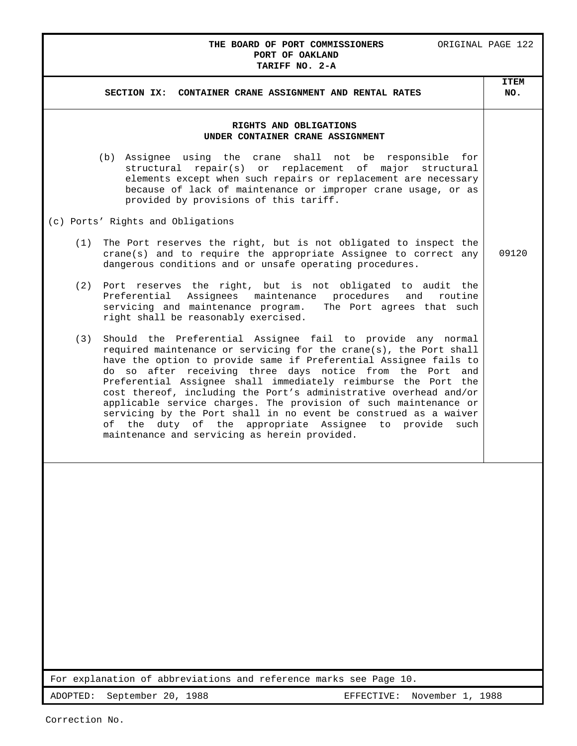### THE BOARD OF PORT COMMISSIONERS ORIGINAL PAGE 122 **PORT OF OAKLAND**

| TARIFF NO. 2-A                                                                                                                                                                                                                                                                                                                                                                                                                                                                                                                                                                                                                                                           |                    |
|--------------------------------------------------------------------------------------------------------------------------------------------------------------------------------------------------------------------------------------------------------------------------------------------------------------------------------------------------------------------------------------------------------------------------------------------------------------------------------------------------------------------------------------------------------------------------------------------------------------------------------------------------------------------------|--------------------|
| SECTION IX: CONTAINER CRANE ASSIGNMENT AND RENTAL RATES                                                                                                                                                                                                                                                                                                                                                                                                                                                                                                                                                                                                                  | <b>ITEM</b><br>NO. |
| RIGHTS AND OBLIGATIONS<br>UNDER CONTAINER CRANE ASSIGNMENT                                                                                                                                                                                                                                                                                                                                                                                                                                                                                                                                                                                                               |                    |
| (b) Assignee using the crane shall not be responsible for<br>structural repair(s) or replacement of major structural<br>elements except when such repairs or replacement are necessary<br>because of lack of maintenance or improper crane usage, or as<br>provided by provisions of this tariff.                                                                                                                                                                                                                                                                                                                                                                        |                    |
| (c) Ports' Rights and Obligations                                                                                                                                                                                                                                                                                                                                                                                                                                                                                                                                                                                                                                        |                    |
| The Port reserves the right, but is not obligated to inspect the<br>(1)<br>crane(s) and to require the appropriate Assignee to correct any<br>dangerous conditions and or unsafe operating procedures.                                                                                                                                                                                                                                                                                                                                                                                                                                                                   | 09120              |
| (2)<br>Port reserves the right, but is not obligated to audit the<br>Assignees maintenance procedures<br>Preferential<br>and<br>routine<br>servicing and maintenance program.<br>The Port agrees that such<br>right shall be reasonably exercised.                                                                                                                                                                                                                                                                                                                                                                                                                       |                    |
| Should the Preferential Assignee fail to provide any normal<br>(3)<br>required maintenance or servicing for the crane(s), the Port shall<br>have the option to provide same if Preferential Assignee fails to<br>do so after receiving three days notice from the Port and<br>Preferential Assignee shall immediately reimburse the Port the<br>cost thereof, including the Port's administrative overhead and/or<br>applicable service charges. The provision of such maintenance or<br>servicing by the Port shall in no event be construed as a waiver<br>of the duty of the appropriate Assignee to provide<br>such<br>maintenance and servicing as herein provided. |                    |
|                                                                                                                                                                                                                                                                                                                                                                                                                                                                                                                                                                                                                                                                          |                    |
|                                                                                                                                                                                                                                                                                                                                                                                                                                                                                                                                                                                                                                                                          |                    |
|                                                                                                                                                                                                                                                                                                                                                                                                                                                                                                                                                                                                                                                                          |                    |
|                                                                                                                                                                                                                                                                                                                                                                                                                                                                                                                                                                                                                                                                          |                    |
|                                                                                                                                                                                                                                                                                                                                                                                                                                                                                                                                                                                                                                                                          |                    |
| For explanation of abbreviations and reference marks see Page 10.                                                                                                                                                                                                                                                                                                                                                                                                                                                                                                                                                                                                        |                    |
| ADOPTED:<br>September 20, 1988<br>EFFECTIVE:<br>November 1, 1988                                                                                                                                                                                                                                                                                                                                                                                                                                                                                                                                                                                                         |                    |
|                                                                                                                                                                                                                                                                                                                                                                                                                                                                                                                                                                                                                                                                          |                    |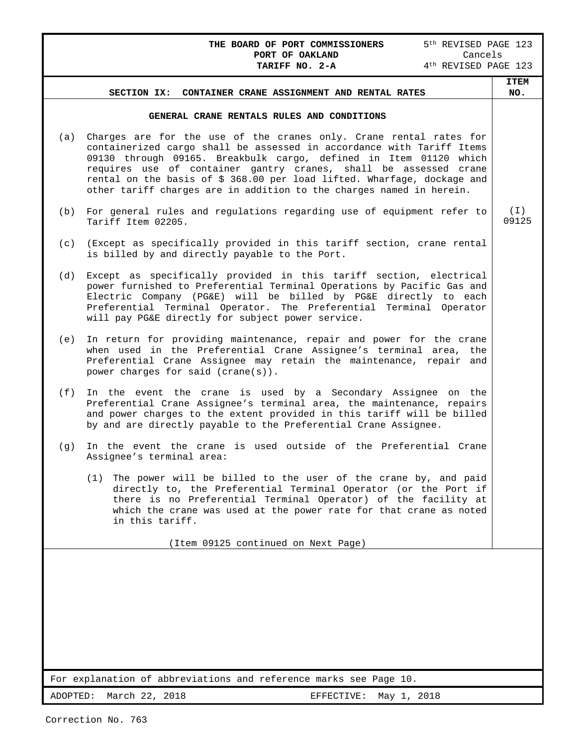|     | Cancels<br>PORT OF OAKLAND<br>4 <sup>th</sup> REVISED PAGE 123<br>TARIFF NO. 2-A                                                                                                                                                                                                                                                                                                                                                        |                    |
|-----|-----------------------------------------------------------------------------------------------------------------------------------------------------------------------------------------------------------------------------------------------------------------------------------------------------------------------------------------------------------------------------------------------------------------------------------------|--------------------|
|     | <b>SECTION IX:</b><br>CONTAINER CRANE ASSIGNMENT AND RENTAL RATES                                                                                                                                                                                                                                                                                                                                                                       | <b>ITEM</b><br>NO. |
|     |                                                                                                                                                                                                                                                                                                                                                                                                                                         |                    |
|     | GENERAL CRANE RENTALS RULES AND CONDITIONS                                                                                                                                                                                                                                                                                                                                                                                              |                    |
| (a) | Charges are for the use of the cranes only. Crane rental rates for<br>containerized cargo shall be assessed in accordance with Tariff Items<br>09130 through 09165. Breakbulk cargo, defined in Item 01120 which<br>requires use of container gantry cranes, shall be assessed crane<br>rental on the basis of \$ 368.00 per load lifted. Wharfage, dockage and<br>other tariff charges are in addition to the charges named in herein. |                    |
| (b) | For general rules and regulations regarding use of equipment refer to<br>Tariff Item 02205.                                                                                                                                                                                                                                                                                                                                             | ( I )<br>09125     |
| (c) | (Except as specifically provided in this tariff section, crane rental<br>is billed by and directly payable to the Port.                                                                                                                                                                                                                                                                                                                 |                    |
| (d) | Except as specifically provided in this tariff section, electrical<br>power furnished to Preferential Terminal Operations by Pacific Gas and<br>Electric Company (PG&E) will be billed by PG&E directly to each<br>Preferential Terminal Operator. The Preferential Terminal Operator<br>will pay PG&E directly for subject power service.                                                                                              |                    |
| (e) | In return for providing maintenance, repair and power for the crane<br>when used in the Preferential Crane Assignee's terminal area, the<br>Preferential Crane Assignee may retain the maintenance, repair and<br>power charges for said (crane(s)).                                                                                                                                                                                    |                    |
| (f) | In the event the crane is used by a Secondary Assignee on the<br>Preferential Crane Assignee's terminal area, the maintenance, repairs<br>and power charges to the extent provided in this tariff will be billed<br>by and are directly payable to the Preferential Crane Assignee.                                                                                                                                                     |                    |
| (q) | In the event the crane is used outside of the Preferential Crane<br>Assignee's terminal area:                                                                                                                                                                                                                                                                                                                                           |                    |
|     | The power will be billed to the user of the crane by, and paid<br>(1)<br>directly to, the Preferential Terminal Operator (or the Port if<br>there is no Preferential Terminal Operator) of the facility at<br>which the crane was used at the power rate for that crane as noted<br>in this tariff.                                                                                                                                     |                    |
|     | (Item 09125 continued on Next Page)                                                                                                                                                                                                                                                                                                                                                                                                     |                    |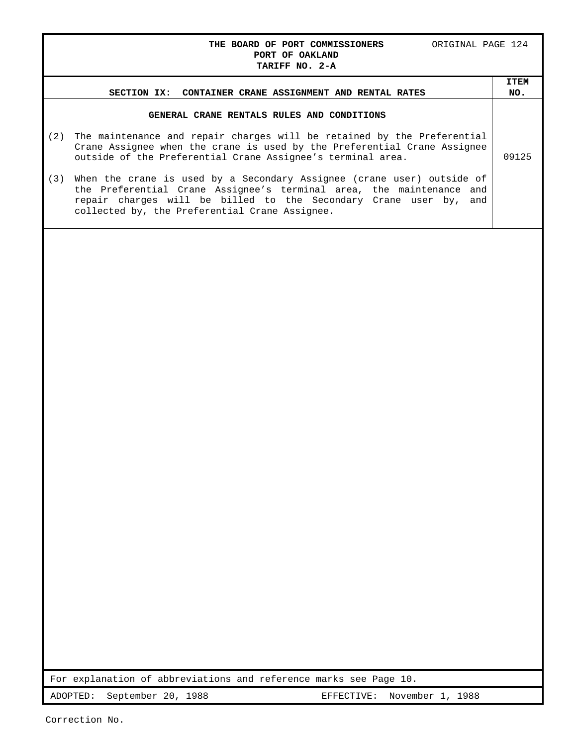#### **THE BOARD OF PORT COMMISSIONERS** ORIGINAL PAGE 124 **PORT OF OAKLAND TARIFF NO. 2-A**

|          | SECTION IX: CONTAINER CRANE ASSIGNMENT AND RENTAL RATES                                                                                                                                                                                                                  | <b>ITEM</b><br>NO. |
|----------|--------------------------------------------------------------------------------------------------------------------------------------------------------------------------------------------------------------------------------------------------------------------------|--------------------|
|          | GENERAL CRANE RENTALS RULES AND CONDITIONS                                                                                                                                                                                                                               |                    |
| (2)      | The maintenance and repair charges will be retained by the Preferential<br>Crane Assignee when the crane is used by the Preferential Crane Assignee<br>outside of the Preferential Crane Assignee's terminal area.                                                       | 09125              |
| (3)      | When the crane is used by a Secondary Assignee (crane user) outside of<br>the Preferential Crane Assignee's terminal area, the maintenance and<br>repair charges will be billed to the Secondary Crane user by,<br>and<br>collected by, the Preferential Crane Assignee. |                    |
|          |                                                                                                                                                                                                                                                                          |                    |
|          |                                                                                                                                                                                                                                                                          |                    |
|          |                                                                                                                                                                                                                                                                          |                    |
|          |                                                                                                                                                                                                                                                                          |                    |
|          |                                                                                                                                                                                                                                                                          |                    |
|          |                                                                                                                                                                                                                                                                          |                    |
|          |                                                                                                                                                                                                                                                                          |                    |
|          |                                                                                                                                                                                                                                                                          |                    |
|          |                                                                                                                                                                                                                                                                          |                    |
|          |                                                                                                                                                                                                                                                                          |                    |
|          |                                                                                                                                                                                                                                                                          |                    |
|          |                                                                                                                                                                                                                                                                          |                    |
|          |                                                                                                                                                                                                                                                                          |                    |
|          |                                                                                                                                                                                                                                                                          |                    |
|          |                                                                                                                                                                                                                                                                          |                    |
|          |                                                                                                                                                                                                                                                                          |                    |
|          |                                                                                                                                                                                                                                                                          |                    |
|          |                                                                                                                                                                                                                                                                          |                    |
|          |                                                                                                                                                                                                                                                                          |                    |
|          |                                                                                                                                                                                                                                                                          |                    |
|          | For explanation of abbreviations and reference marks see Page 10.                                                                                                                                                                                                        |                    |
| ADOPTED: | September 20, 1988<br>November 1, 1988<br>EFFECTIVE:                                                                                                                                                                                                                     |                    |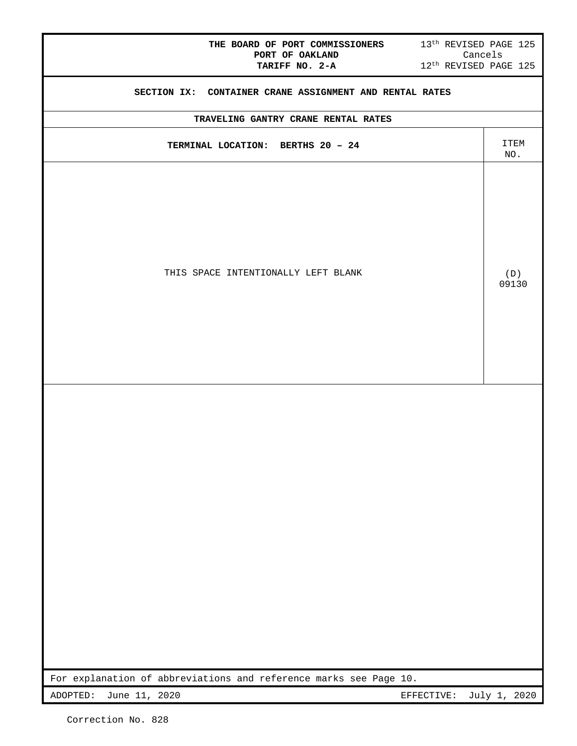| SECTION IX: CONTAINER CRANE ASSIGNMENT AND RENTAL RATES                                                      |              |
|--------------------------------------------------------------------------------------------------------------|--------------|
|                                                                                                              |              |
| TRAVELING GANTRY CRANE RENTAL RATES                                                                          |              |
| TERMINAL LOCATION: BERTHS 20 - 24                                                                            | ITEM<br>NO.  |
| THIS SPACE INTENTIONALLY LEFT BLANK                                                                          | (D)<br>09130 |
|                                                                                                              |              |
| For explanation of abbreviations and reference marks see Page 10.<br>ADOPTED:<br>June 11, 2020<br>EFFECTIVE: | July 1, 2020 |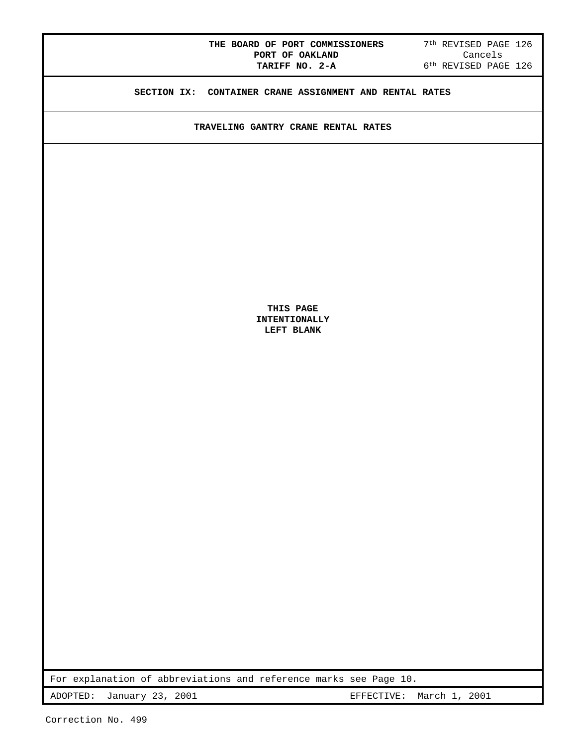### **THE BOARD OF PORT COMMISSIONERS** 7<sup>th</sup> REVISED PAGE 126<br>PORT OF OAKLAND Cancels **PORT OF OAKLAND** Cancels **TARIFF NO. 2-A** 6<sup>th</sup> REVISED PAGE 126

**SECTION IX: CONTAINER CRANE ASSIGNMENT AND RENTAL RATES**

**TRAVELING GANTRY CRANE RENTAL RATES**

**THIS PAGE INTENTIONALLY LEFT BLANK**

For explanation of abbreviations and reference marks see Page 10.

ADOPTED: January 23, 2001 EFFECTIVE: March 1, 2001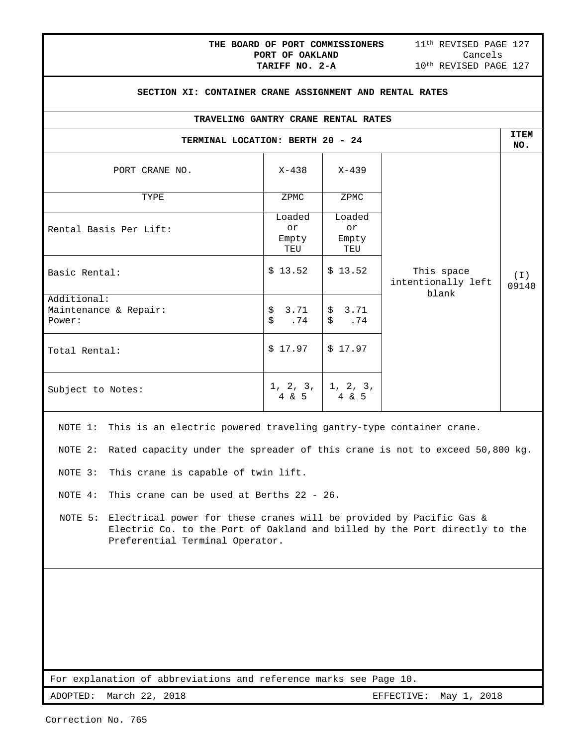### **THE BOARD OF PORT COMMISSIONERS** 11<sup>th</sup> REVISED PAGE 127<br>**PORT OF OAKLAND** Cancels **PORT OF OAKLAND<br>TARIFF NO. 2-A**  $10^{th}$  REVISED PAGE 127 **SECTION XI: CONTAINER CRANE ASSIGNMENT AND RENTAL RATES TRAVELING GANTRY CRANE RENTAL RATES TERMINAL LOCATION: BERTH 20 - 24 ITEM NO.** PORT CRANE NO.  $X-438$  X-439 This space intentionally left blank (I) 09140 TYPE 2PMC 2PMC 2PMC Rental Basis Per Lift: Loaded or Empty TEU Loaded or Empty TEU Basic Rental:  $| 13.52 | 513.52$ Additional: Maintenance & Repair: Power:  $$3.71$ <br> $$3.74$ \$ .74  $$3.71$ \$ .74 Total Rental:  $\begin{array}{c|c|c|c|c|c|c|c|c} \hline \text{5} & 17.97 & \text{5} & 17.97 \end{array}$ Subject to Notes:  $\begin{vmatrix} 1, & 2, & 3, \end{vmatrix}$ 4 & 5 1, 2, 3, 4 & 5 NOTE 1: This is an electric powered traveling gantry-type container crane. NOTE 2: Rated capacity under the spreader of this crane is not to exceed 50,800 kg. NOTE 3: This crane is capable of twin lift. NOTE 4: This crane can be used at Berths 22 - 26. NOTE 5: Electrical power for these cranes will be provided by Pacific Gas & Electric Co. to the Port of Oakland and billed by the Port directly to the Preferential Terminal Operator.

For explanation of abbreviations and reference marks see Page 10.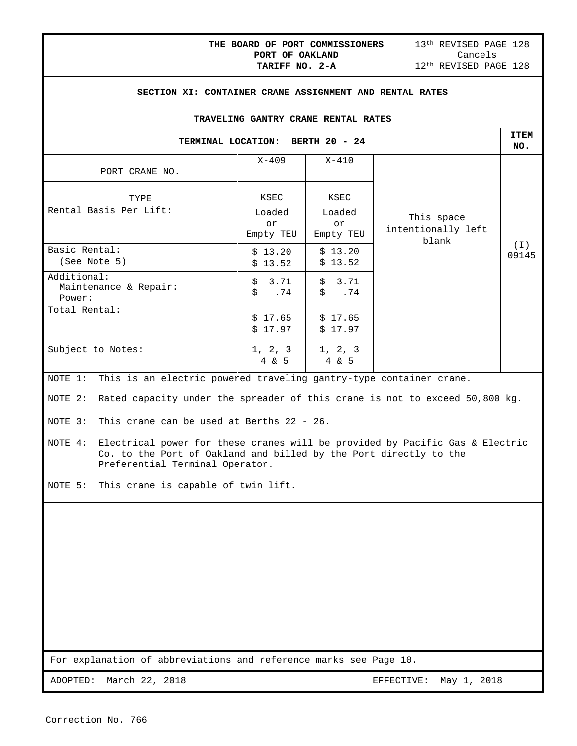| 13th REVISED PAGE 128<br>THE BOARD OF PORT COMMISSIONERS<br>Cancels<br>PORT OF OAKLAND<br>12 <sup>th</sup> REVISED PAGE 128<br>TARIFF NO. 2-A                                                   |                                            |                           |                                           |                |  |  |
|-------------------------------------------------------------------------------------------------------------------------------------------------------------------------------------------------|--------------------------------------------|---------------------------|-------------------------------------------|----------------|--|--|
| SECTION XI: CONTAINER CRANE ASSIGNMENT AND RENTAL RATES                                                                                                                                         |                                            |                           |                                           |                |  |  |
|                                                                                                                                                                                                 | <b>TRAVELING GANTRY CRANE RENTAL RATES</b> |                           |                                           |                |  |  |
|                                                                                                                                                                                                 | TERMINAL LOCATION: BERTH 20 - 24           |                           |                                           | ITEM<br>NO.    |  |  |
| PORT CRANE NO.                                                                                                                                                                                  | X-409                                      | X-410                     |                                           |                |  |  |
| TYPE                                                                                                                                                                                            | KSEC                                       | KSEC                      |                                           |                |  |  |
| Rental Basis Per Lift:                                                                                                                                                                          | Loaded<br>or<br>Empty TEU                  | Loaded<br>or<br>Empty TEU | This space<br>intentionally left<br>blank |                |  |  |
| Basic Rental:<br>(See Note 5)                                                                                                                                                                   | \$13.20<br>\$13.52                         | \$13.20<br>\$13.52        |                                           | ( I )<br>09145 |  |  |
| Additional:<br>Maintenance & Repair:<br>Power:                                                                                                                                                  | \$<br>3.71<br>.74<br>\$                    | \$3.71<br>\$<br>.74       |                                           |                |  |  |
| Total Rental:                                                                                                                                                                                   | \$17.65<br>\$17.97                         | \$17.65<br>\$17.97        |                                           |                |  |  |
| Subject to Notes:                                                                                                                                                                               | 1, 2, 3<br>$4 \& 5$                        | 1, 2, 3<br>4 & 5          |                                           |                |  |  |
| This is an electric powered traveling gantry-type container crane.<br>NOTE 1:                                                                                                                   |                                            |                           |                                           |                |  |  |
| Rated capacity under the spreader of this crane is not to exceed 50,800 kg.<br>NOTE 2:                                                                                                          |                                            |                           |                                           |                |  |  |
| This crane can be used at Berths 22 - 26.<br>NOTE 3:                                                                                                                                            |                                            |                           |                                           |                |  |  |
| Electrical power for these cranes will be provided by Pacific Gas & Electric<br>NOTE 4:<br>Co. to the Port of Oakland and billed by the Port directly to the<br>Preferential Terminal Operator. |                                            |                           |                                           |                |  |  |
| This crane is capable of twin lift.<br>NOTE 5:                                                                                                                                                  |                                            |                           |                                           |                |  |  |
|                                                                                                                                                                                                 |                                            |                           |                                           |                |  |  |

For explanation of abbreviations and reference marks see Page 10.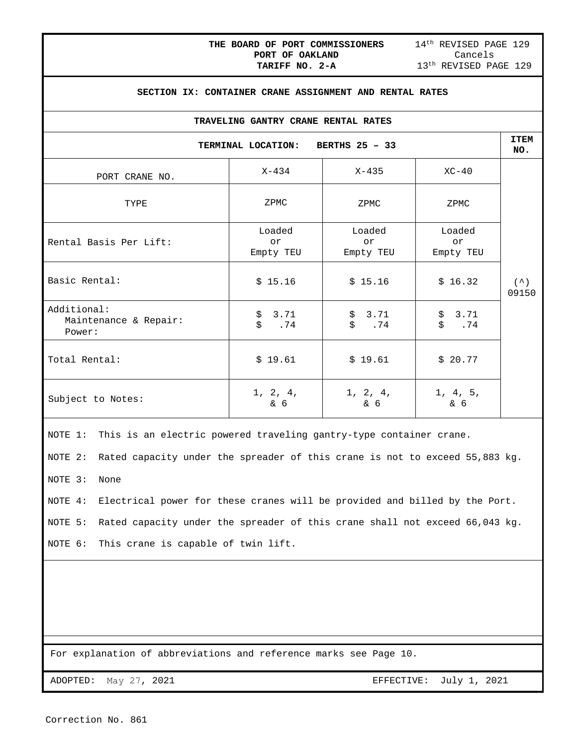| 14 <sup>th</sup> REVISED PAGE 129<br>THE BOARD OF PORT COMMISSIONERS<br>Cancels<br>PORT OF OAKLAND<br>13th REVISED PAGE 129<br>TARIFF NO. 2-A |                                            |                           |                           |            |  |  |
|-----------------------------------------------------------------------------------------------------------------------------------------------|--------------------------------------------|---------------------------|---------------------------|------------|--|--|
| SECTION IX: CONTAINER CRANE ASSIGNMENT AND RENTAL RATES                                                                                       |                                            |                           |                           |            |  |  |
|                                                                                                                                               | <b>TRAVELING GANTRY CRANE RENTAL RATES</b> |                           |                           |            |  |  |
| <b>ITEM</b><br><b>BERTHS 25 - 33</b><br>TERMINAL LOCATION:<br>NO.                                                                             |                                            |                           |                           |            |  |  |
| PORT CRANE NO.                                                                                                                                | $X-434$                                    | $X - 435$                 | $XC-40$                   |            |  |  |
| TYPE                                                                                                                                          | ZPMC                                       | ZPMC                      | ZPMC                      |            |  |  |
| Rental Basis Per Lift:                                                                                                                        | Loaded<br>or<br>Empty TEU                  | Loaded<br>or<br>Empty TEU | Loaded<br>or<br>Empty TEU |            |  |  |
| Basic Rental:                                                                                                                                 | \$15.16                                    | \$15.16                   | \$16.32                   | (<br>09150 |  |  |
| Additional:<br>Maintenance & Repair:<br>Power:                                                                                                | \$<br>3.71<br>\$<br>.74                    | \$3.71<br>$$-.74$         | 3.71<br>\$<br>\$<br>.74   |            |  |  |
| \$19.61<br>\$19.61<br>Total Rental:<br>\$20.77                                                                                                |                                            |                           |                           |            |  |  |
| 1, 2, 4,<br>1, 2, 4,<br>1, 4, 5,<br>Subject to Notes:<br>& 6<br>& 6<br>& 6                                                                    |                                            |                           |                           |            |  |  |
| NOTE 1: This is an electric powered traveling gantry-type container crane.                                                                    |                                            |                           |                           |            |  |  |
| Rated capacity under the spreader of this crane is not to exceed 55,883 kg.<br>NOTE 2:                                                        |                                            |                           |                           |            |  |  |
| NOTE 3:<br>None                                                                                                                               |                                            |                           |                           |            |  |  |
| Electrical power for these cranes will be provided and billed by the Port.<br>NOTE 4:                                                         |                                            |                           |                           |            |  |  |
| Rated capacity under the spreader of this crane shall not exceed 66,043 kg.<br>NOTE 5:                                                        |                                            |                           |                           |            |  |  |
| This crane is capable of twin lift.<br>NOTE 6:                                                                                                |                                            |                           |                           |            |  |  |
|                                                                                                                                               |                                            |                           |                           |            |  |  |

For explanation of abbreviations and reference marks see Page 10.

ADOPTED: May 27, 2021 **EFFECTIVE:** July 1, 2021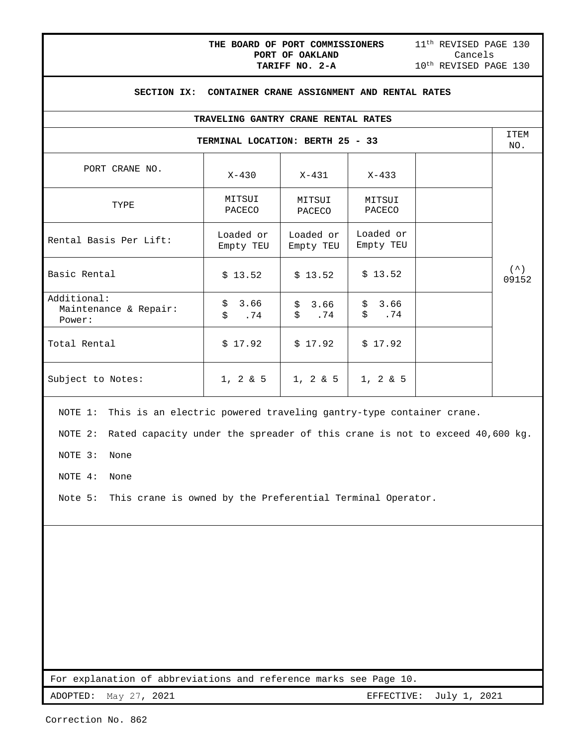# **THE BOARD OF PORT COMMISSIONERS** 11<sup>th</sup> REVISED PAGE 130<br>**PORT OF OAKLAND** Cancels **PORT OF OAKLAND<br>TARIFF NO. 2-A**

 $10^{th}$  REVISED PAGE 130

### **SECTION IX: CONTAINER CRANE ASSIGNMENT AND RENTAL RATES**

#### **TRAVELING GANTRY CRANE RENTAL RATES**

| TERMINAL LOCATION: BERTH 25 - 33               |                         |                         |                        |  | <b>ITEM</b><br>NO.        |
|------------------------------------------------|-------------------------|-------------------------|------------------------|--|---------------------------|
| PORT CRANE NO.                                 | $X-430$                 | X-431                   | $X - 433$              |  |                           |
| TYPE                                           | MITSUI<br>PACECO        | MITSUI<br>PACECO        | MITSUI<br>PACECO       |  |                           |
| Rental Basis Per Lift:                         | Loaded or<br>Empty TEU  | Loaded or<br>Empty TEU  | Loaded or<br>Empty TEU |  |                           |
| Basic Rental                                   | \$13.52                 | \$13.52                 | \$13.52                |  | $($ $\wedge$ $)$<br>09152 |
| Additional:<br>Maintenance & Repair:<br>Power: | \$<br>3.66<br>\$<br>.74 | \$<br>3.66<br>\$<br>.74 | \$3.66<br>Ŝ.<br>.74    |  |                           |
| Total Rental                                   | \$17.92                 | \$17.92                 | \$17.92                |  |                           |
| Subject to Notes:                              | $1, 2 \& 5$             | $1, 2 \& 5$             | $1, 2 \& 5$            |  |                           |

NOTE 1: This is an electric powered traveling gantry-type container crane.

NOTE 2: Rated capacity under the spreader of this crane is not to exceed 40,600 kg.

NOTE 3: None

NOTE 4: None

Note 5: This crane is owned by the Preferential Terminal Operator.

For explanation of abbreviations and reference marks see Page 10.

ADOPTED: May 27, 2021 **EFFECTIVE:** July 1, 2021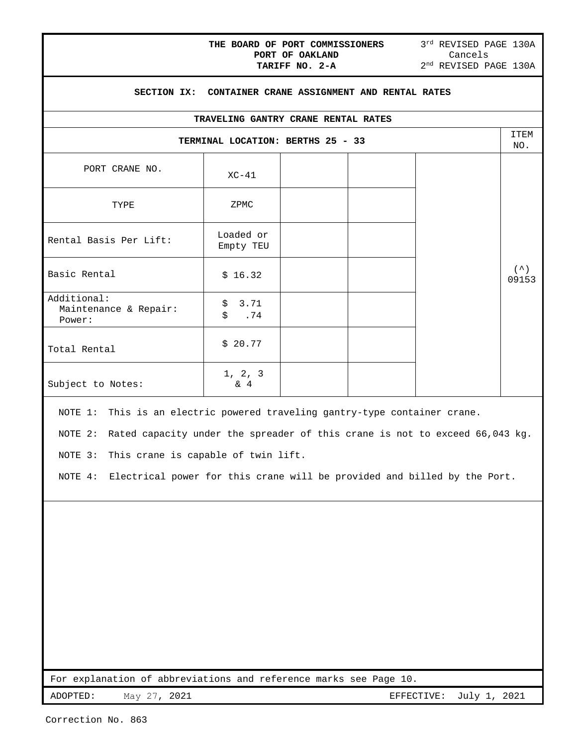|                                                | THE BOARD OF PORT COMMISSIONERS                         | PORT OF OAKLAND<br>TARIFF NO. 2-A | 3rd REVISED PAGE 130A<br>Cancels<br>2 <sup>nd</sup> REVISED PAGE 130A |                    |
|------------------------------------------------|---------------------------------------------------------|-----------------------------------|-----------------------------------------------------------------------|--------------------|
|                                                | SECTION IX: CONTAINER CRANE ASSIGNMENT AND RENTAL RATES |                                   |                                                                       |                    |
|                                                | TRAVELING GANTRY CRANE RENTAL RATES                     |                                   |                                                                       |                    |
|                                                | TERMINAL LOCATION: BERTHS 25 - 33                       |                                   |                                                                       | <b>ITEM</b><br>NO. |
| PORT CRANE NO.                                 | $XC-41$                                                 |                                   |                                                                       |                    |
| TYPE                                           | ZPMC                                                    |                                   |                                                                       |                    |
| Rental Basis Per Lift:                         | Loaded or<br>Empty TEU                                  |                                   |                                                                       |                    |
| Basic Rental                                   | \$16.32                                                 |                                   |                                                                       | (<br>09153         |
| Additional:<br>Maintenance & Repair:<br>Power: | \$3.71<br>$$-.74$                                       |                                   |                                                                       |                    |
| Total Rental                                   | \$20.77                                                 |                                   |                                                                       |                    |
| Subject to Notes:                              | 1, 2, 3<br>$\&$ 4                                       |                                   |                                                                       |                    |

NOTE 1: This is an electric powered traveling gantry-type container crane.

NOTE 2: Rated capacity under the spreader of this crane is not to exceed 66,043 kg.

NOTE 3: This crane is capable of twin lift.

NOTE 4: Electrical power for this crane will be provided and billed by the Port.

For explanation of abbreviations and reference marks see Page 10.

ADOPTED: May 27, 2021 CHANGE REFECTIVE: July 1, 2021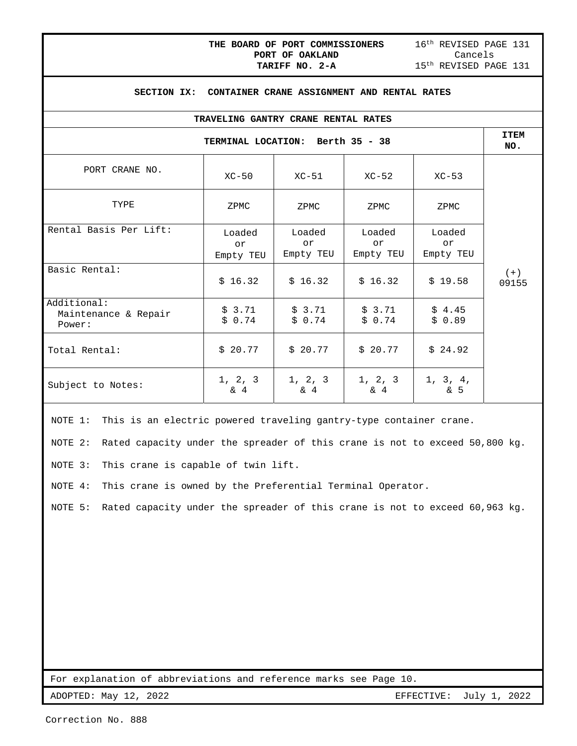# **THE BOARD OF PORT COMMISSIONERS** 16<sup>th</sup> REVISED PAGE 131 **PORT OF OAKLAND** Cancels **PORT OF OAKLAND<br>TARIFF NO. 2-A**

### **SECTION IX: CONTAINER CRANE ASSIGNMENT AND RENTAL RATES**

| TRAVELING GANTRY CRANE RENTAL RATES           |                           |                           |                           |                           |                |  |
|-----------------------------------------------|---------------------------|---------------------------|---------------------------|---------------------------|----------------|--|
| TERMINAL LOCATION: Berth 35 - 38              |                           |                           |                           |                           |                |  |
| PORT CRANE NO.                                | $XC-50$                   | $XC-51$                   | $XC-52$                   | $XC-53$                   |                |  |
| TYPE                                          | ZPMC                      | ZPMC                      | ZPMC                      | ZPMC                      |                |  |
| Rental Basis Per Lift:                        | Loaded<br>or<br>Empty TEU | Loaded<br>or<br>Empty TEU | Loaded<br>or<br>Empty TEU | Loaded<br>or<br>Empty TEU |                |  |
| Basic Rental:                                 | \$16.32                   | \$16.32                   | \$16.32                   | \$19.58                   | $(+)$<br>09155 |  |
| Additional:<br>Maintenance & Repair<br>Power: | \$3.71<br>\$0.74          | \$3.71<br>\$0.74          | \$3.71<br>\$0.74          | \$4.45<br>\$0.89          |                |  |
| Total Rental:                                 | \$20.77                   | \$20.77                   | \$20.77                   | \$24.92                   |                |  |
| Subject to Notes:                             | 1, 2, 3<br>& 4            | 1, 2, 3<br>& 4            | 1, 2, 3<br>& 4            | 1, 3, 4,<br>& 5           |                |  |

NOTE 1: This is an electric powered traveling gantry-type container crane.

NOTE 2: Rated capacity under the spreader of this crane is not to exceed 50,800 kg.

NOTE 3: This crane is capable of twin lift.

NOTE 4: This crane is owned by the Preferential Terminal Operator.

NOTE 5: Rated capacity under the spreader of this crane is not to exceed 60,963 kg.

For explanation of abbreviations and reference marks see Page 10.

ADOPTED: May 12, 2022 EFFECTIVE: July 1, 2022

L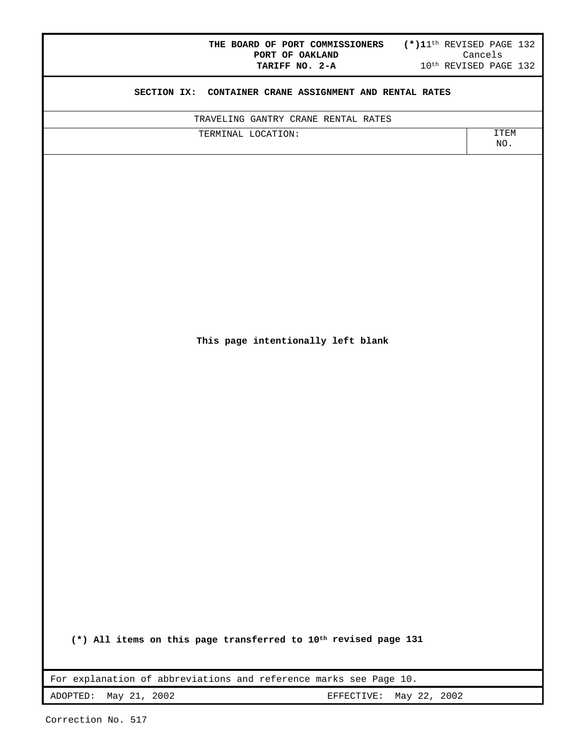| THE BOARD OF PORT COMMISSIONERS (*)11 <sup>th</sup> REVISED PAGE 132        |                                              |
|-----------------------------------------------------------------------------|----------------------------------------------|
| PORT OF OAKLAND<br>TARIFF NO. 2-A                                           | Cancels<br>10 <sup>th</sup> REVISED PAGE 132 |
| SECTION IX: CONTAINER CRANE ASSIGNMENT AND RENTAL RATES                     |                                              |
|                                                                             |                                              |
| TRAVELING GANTRY CRANE RENTAL RATES                                         |                                              |
| TERMINAL LOCATION:                                                          | ITEM<br>NO.                                  |
|                                                                             |                                              |
|                                                                             |                                              |
|                                                                             |                                              |
|                                                                             |                                              |
|                                                                             |                                              |
|                                                                             |                                              |
|                                                                             |                                              |
|                                                                             |                                              |
|                                                                             |                                              |
|                                                                             |                                              |
| This page intentionally left blank                                          |                                              |
|                                                                             |                                              |
|                                                                             |                                              |
|                                                                             |                                              |
|                                                                             |                                              |
|                                                                             |                                              |
|                                                                             |                                              |
|                                                                             |                                              |
|                                                                             |                                              |
|                                                                             |                                              |
|                                                                             |                                              |
|                                                                             |                                              |
|                                                                             |                                              |
|                                                                             |                                              |
|                                                                             |                                              |
|                                                                             |                                              |
|                                                                             |                                              |
|                                                                             |                                              |
| (*) All items on this page transferred to 10 <sup>th</sup> revised page 131 |                                              |
|                                                                             |                                              |
| For explanation of abbreviations and reference marks see Page 10.           |                                              |
| May 21, 2002<br>May 22, 2002<br>ADOPTED:<br>EFFECTIVE:                      |                                              |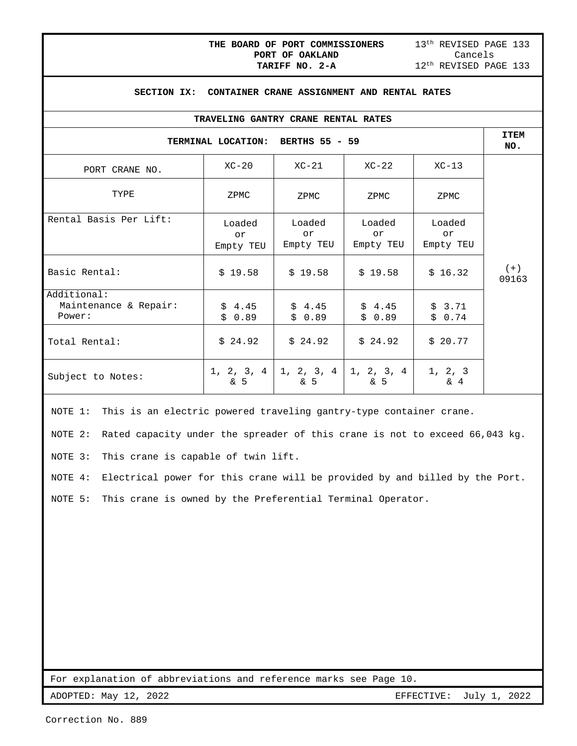|                                                         |                                     | THE BOARD OF PORT COMMISSIONERS<br>PORT OF OAKLAND<br>TARIFF NO. 2-A | 13th REVISED PAGE 133<br>Cancels<br>12 <sup>th</sup> REVISED PAGE 133 |                           |                    |
|---------------------------------------------------------|-------------------------------------|----------------------------------------------------------------------|-----------------------------------------------------------------------|---------------------------|--------------------|
| SECTION IX: CONTAINER CRANE ASSIGNMENT AND RENTAL RATES |                                     |                                                                      |                                                                       |                           |                    |
|                                                         | TRAVELING GANTRY CRANE RENTAL RATES |                                                                      |                                                                       |                           |                    |
|                                                         | TERMINAL LOCATION: BERTHS 55 - 59   |                                                                      |                                                                       |                           | <b>ITEM</b><br>NO. |
| PORT CRANE NO.                                          | $XC-20$                             | $XC-21$                                                              | $XC-22$                                                               | $XC-13$                   |                    |
| TYPE                                                    | ZPMC                                | ZPMC                                                                 | ZPMC                                                                  | ZPMC                      |                    |
| Rental Basis Per Lift:                                  | Loaded<br>or<br>Empty TEU           | Loaded<br>or<br>Empty TEU                                            | Loaded<br>or<br>Empty TEU                                             | Loaded<br>or<br>Empty TEU |                    |
| Basic Rental:                                           | \$19.58                             | \$19.58                                                              | \$19.58                                                               | \$16.32                   | $(+)$<br>09163     |
| Additional:<br>Maintenance & Repair:<br>Power:          | \$4.45<br>\$0.89                    | \$4.45<br>\$0.89                                                     | \$4.45<br>\$0.89                                                      | \$3.71<br>\$0.74          |                    |
| Total Rental:                                           | \$24.92                             | \$24.92                                                              | \$24.92                                                               | \$20.77                   |                    |
| Subject to Notes:                                       | 1, 2, 3, 4<br>& 5                   | 1, 2, 3, 4<br>& 5                                                    | 1, 2, 3, 4<br>& 5                                                     | 1, 2, 3<br>$\&$ 4         |                    |

NOTE 1: This is an electric powered traveling gantry-type container crane.

NOTE 2: Rated capacity under the spreader of this crane is not to exceed 66,043 kg.

NOTE 3: This crane is capable of twin lift.

NOTE 4: Electrical power for this crane will be provided by and billed by the Port.

NOTE 5: This crane is owned by the Preferential Terminal Operator.

For explanation of abbreviations and reference marks see Page 10.

ADOPTED: May 12, 2022 EFFECTIVE: July 1, 2022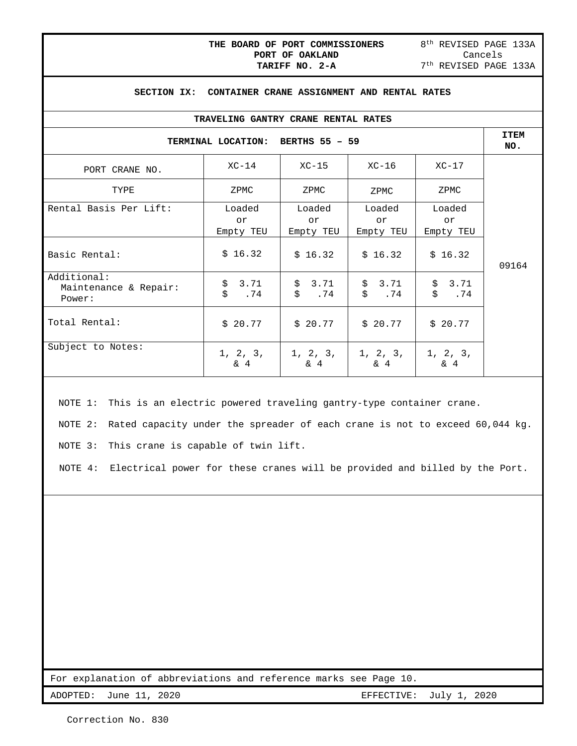# **THE BOARD OF PORT COMMISSIONERS** 8<sup>th</sup> REVISED PAGE 133A **PORT OF OAKLAND** Cancels **PORT OF OAKLAND<br>TARIFF NO. 2-A**

| SECTION IX: CONTAINER CRANE ASSIGNMENT AND RENTAL RATES |                                     |                           |                           |                           |       |  |  |
|---------------------------------------------------------|-------------------------------------|---------------------------|---------------------------|---------------------------|-------|--|--|
|                                                         | TRAVELING GANTRY CRANE RENTAL RATES |                           |                           |                           |       |  |  |
|                                                         | TERMINAL LOCATION: BERTHS 55 - 59   |                           |                           |                           |       |  |  |
| PORT CRANE NO.                                          | $XC-14$                             | $XC-15$                   | $XC-16$                   | $XC-17$                   |       |  |  |
| TYPE                                                    | ZPMC                                | ZPMC                      | ZPMC                      | ZPMC                      |       |  |  |
| Rental Basis Per Lift:                                  | Loaded<br>or<br>Empty TEU           | Loaded<br>or<br>Empty TEU | Loaded<br>or<br>Empty TEU | Loaded<br>or<br>Empty TEU |       |  |  |
| Basic Rental:                                           | \$16.32                             | \$16.32                   | \$16.32                   | \$16.32                   | 09164 |  |  |
| Additional:<br>Maintenance & Repair:<br>Power:          | \$<br>3.71<br>\$<br>.74             | \$3.71<br>\$<br>.74       | \$3.71<br>$$-.74$         | \$3.71<br>\$<br>.74       |       |  |  |
| Total Rental:                                           | \$20.77                             | \$20.77                   | \$20.77                   | \$20.77                   |       |  |  |
| Subject to Notes:                                       | 1, 2, 3,<br>& 4                     | 1, 2, 3,<br>& 4           | 1, 2, 3, 1<br>& 4         | 1, 2, 3,<br>& 4           |       |  |  |

NOTE 1: This is an electric powered traveling gantry-type container crane.

NOTE 2: Rated capacity under the spreader of each crane is not to exceed 60,044 kg.

NOTE 3: This crane is capable of twin lift.

NOTE 4: Electrical power for these cranes will be provided and billed by the Port.

For explanation of abbreviations and reference marks see Page 10.

ADOPTED: June 11, 2020 <br>
aborthus the set of the set of the set of the set of the set of the set of the set of the set of the set of t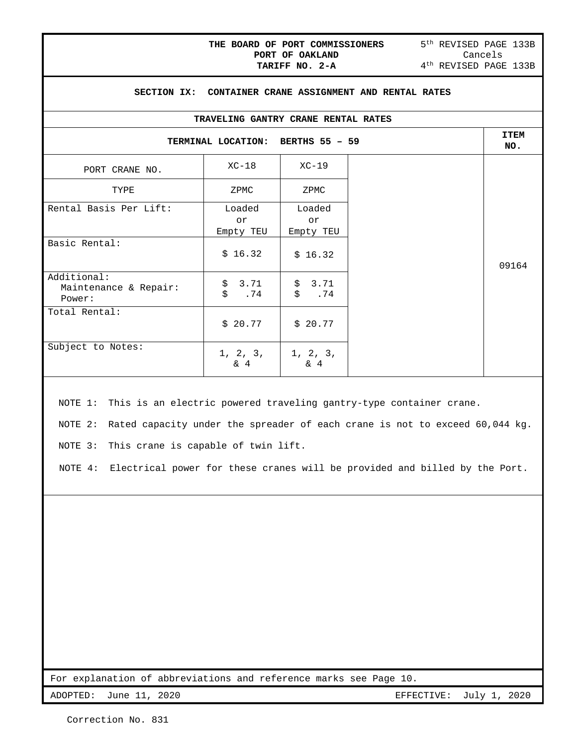| THE BOARD OF PORT COMMISSIONERS<br>PORT OF OAKLAND<br>TARIFF NO. 2-A |                                                         |                           | 5 <sup>th</sup> REVISED PAGE 133B<br>Cancels<br>4 <sup>th</sup> REVISED PAGE 133B |  |                    |
|----------------------------------------------------------------------|---------------------------------------------------------|---------------------------|-----------------------------------------------------------------------------------|--|--------------------|
|                                                                      | SECTION IX: CONTAINER CRANE ASSIGNMENT AND RENTAL RATES |                           |                                                                                   |  |                    |
|                                                                      | TRAVELING GANTRY CRANE RENTAL RATES                     |                           |                                                                                   |  |                    |
|                                                                      | TERMINAL LOCATION: BERTHS 55 - 59                       |                           |                                                                                   |  | <b>ITEM</b><br>NO. |
| PORT CRANE NO.                                                       | $XC-18$                                                 | $XC-19$                   |                                                                                   |  |                    |
| TYPE                                                                 | ZPMC                                                    | ZPMC                      |                                                                                   |  |                    |
| Rental Basis Per Lift:                                               | Loaded<br>or<br>Empty TEU                               | Loaded<br>or<br>Empty TEU |                                                                                   |  |                    |
| Basic Rental:                                                        | \$16.32                                                 | \$16.32                   |                                                                                   |  | 09164              |
| Additional:<br>Maintenance & Repair:<br>Power:                       | \$3.71<br>$$-.74$                                       | \$3.71<br>$$-.74$         |                                                                                   |  |                    |
| Total Rental:                                                        | \$20.77                                                 | \$20.77                   |                                                                                   |  |                    |
| Subject to Notes:                                                    | 1, 2, 3,<br>& 4                                         | 1, 2, 3,<br>$\&$ 4        |                                                                                   |  |                    |

NOTE 1: This is an electric powered traveling gantry-type container crane.

NOTE 2: Rated capacity under the spreader of each crane is not to exceed 60,044 kg.

NOTE 3: This crane is capable of twin lift.

NOTE 4: Electrical power for these cranes will be provided and billed by the Port.

For explanation of abbreviations and reference marks see Page 10.

ADOPTED: June 11, 2020 <br>
EFFECTIVE: July 1, 2020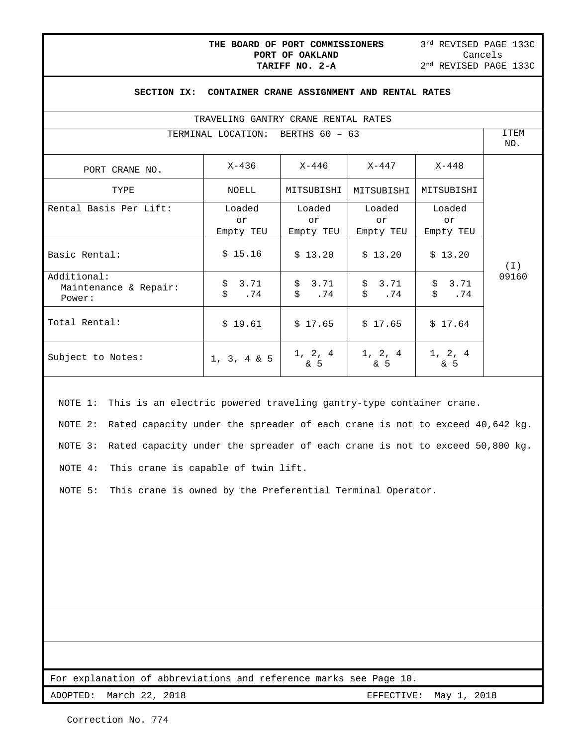# **THE BOARD OF PORT COMMISSIONERS** 3<sup>rd</sup> REVISED PAGE 133C<br>**PORT OF OAKLAND** Cancels **PORT OF OAKLAND<br>TARIFF NO. 2-A**

#### **SECTION IX: CONTAINER CRANE ASSIGNMENT AND RENTAL RATES**

| TRAVELING GANTRY CRANE RENTAL RATES            |                         |                     |                   |                     |          |
|------------------------------------------------|-------------------------|---------------------|-------------------|---------------------|----------|
| TERMINAL LOCATION: BERTHS 60 - 63              |                         |                     |                   |                     |          |
| PORT CRANE NO.                                 | X-436                   | $X - 446$           | $X - 447$         | $X - 448$           |          |
| TYPE                                           | NOELL                   | MITSUBISHI          | MITSUBISHI        | MITSUBISHI          |          |
| Rental Basis Per Lift:                         | Loaded                  | Loaded              | Loaded            | Loaded              |          |
|                                                | or                      | or                  | or                | or                  |          |
|                                                | Empty TEU               | Empty TEU           | Empty TEU         | Empty TEU           |          |
| Basic Rental:                                  | \$15.16                 | \$13.20             | \$13.20           | \$13.20             | $(\bot)$ |
| Additional:<br>Maintenance & Repair:<br>Power: | 3.71<br>\$<br>\$<br>.74 | \$3.71<br>\$<br>.74 | \$3.71<br>$$-.74$ | \$3.71<br>Ś.<br>.74 | 09160    |
| Total Rental:                                  | \$19.61                 | \$17.65             | \$17.65           | \$17.64             |          |
| Subject to Notes:                              | $1, 3, 4 \& 5$          | 1, 2, 4<br>& 5      | 1, 2, 4<br>& 5    | 1, 2, 4<br>& 5      |          |

NOTE 1: This is an electric powered traveling gantry-type container crane.

NOTE 2: Rated capacity under the spreader of each crane is not to exceed 40,642 kg. NOTE 3: Rated capacity under the spreader of each crane is not to exceed 50,800 kg. NOTE 4: This crane is capable of twin lift.

NOTE 5: This crane is owned by the Preferential Terminal Operator.

For explanation of abbreviations and reference marks see Page 10.